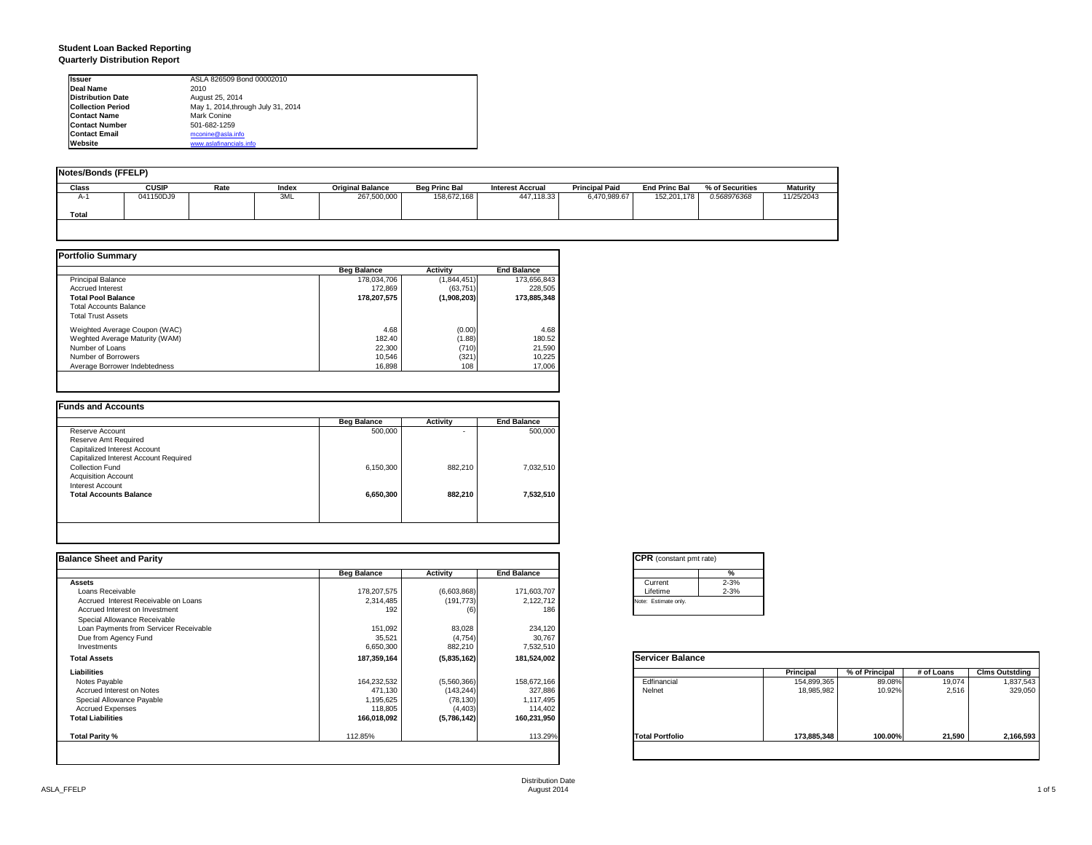#### **Student Loan Backed Reporting Quarterly Distribution Report**

| <b>Issuer</b>            | ASLA 826509 Bond 00002010          |  |
|--------------------------|------------------------------------|--|
| Deal Name                | 2010                               |  |
| <b>Distribution Date</b> | August 25, 2014                    |  |
| <b>Collection Period</b> | May 1, 2014, through July 31, 2014 |  |
| <b>Contact Name</b>      | Mark Conine                        |  |
| <b>Contact Number</b>    | 501-682-1259                       |  |
| <b>Contact Email</b>     | mconine@asla.info                  |  |
| Website                  | www.aslafinancials.info            |  |

| <b>Notes/Bonds (FFELP)</b> |              |      |       |                         |                      |                         |                       |                      |                 |                 |
|----------------------------|--------------|------|-------|-------------------------|----------------------|-------------------------|-----------------------|----------------------|-----------------|-----------------|
| <b>Class</b>               | <b>CUSIP</b> | Rate | Index | <b>Original Balance</b> | <b>Beg Princ Bal</b> | <b>Interest Accrual</b> | <b>Principal Paid</b> | <b>End Princ Bal</b> | % of Securities | <b>Maturity</b> |
| $A-1$                      | 041150DJ9    |      | 3ML   | 267,500,000             | 158,672,168          | 447.118.33              | 6.470.989.67          | 152,201,178          | 0.568976368     | 11/25/2043      |
| <b>Total</b>               |              |      |       |                         |                      |                         |                       |                      |                 |                 |
|                            |              |      |       |                         |                      |                         |                       |                      |                 |                 |

|                                | <b>Beg Balance</b> | <b>Activity</b> | <b>End Balance</b> |
|--------------------------------|--------------------|-----------------|--------------------|
| <b>Principal Balance</b>       | 178.034.706        | (1,844,451)     | 173.656.843        |
| <b>Accrued Interest</b>        | 172.869            | (63.751)        | 228,505            |
| <b>Total Pool Balance</b>      | 178.207.575        | (1,908,203)     | 173.885.348        |
| <b>Total Accounts Balance</b>  |                    |                 |                    |
| <b>Total Trust Assets</b>      |                    |                 |                    |
| Weighted Average Coupon (WAC)  | 4.68               | (0.00)          | 4.68               |
| Weghted Average Maturity (WAM) | 182.40             | (1.88)          | 180.52             |
| Number of Loans                | 22,300             | (710)           | 21,590             |
| Number of Borrowers            | 10.546             | (321)           | 10,225             |
| Average Borrower Indebtedness  | 16.898             | 108             | 17,006             |

|           | Activity | <b>End Balance</b> |
|-----------|----------|--------------------|
| 500,000   |          | 500,000            |
|           |          |                    |
|           |          |                    |
|           |          |                    |
| 6,150,300 | 882,210  | 7,032,510          |
|           |          |                    |
|           |          |                    |
| 6,650,300 | 882.210  | 7,532,510          |
|           |          |                    |
|           |          |                    |

| <b>Balance Sheet and Parity</b>        |                    |             |                    | <b>CPR</b> (constant pmt rate)                             |                       |
|----------------------------------------|--------------------|-------------|--------------------|------------------------------------------------------------|-----------------------|
|                                        | <b>Beg Balance</b> | Activity    | <b>End Balance</b> | %                                                          |                       |
| <b>Assets</b>                          |                    |             |                    | $2 - 3%$<br>Current                                        |                       |
| Loans Receivable                       | 178,207,575        | (6,603,868) | 171,603,707        | $2 - 3%$<br>Lifetime                                       |                       |
| Accrued Interest Receivable on Loans   | 2,314,485          | (191, 773)  | 2,122,712          | Note: Estimate only.                                       |                       |
| Accrued Interest on Investment         | 192                | (6)         | 186                |                                                            |                       |
| Special Allowance Receivable           |                    |             |                    |                                                            |                       |
| Loan Payments from Servicer Receivable | 151,092            | 83,028      | 234,120            |                                                            |                       |
| Due from Agency Fund                   | 35,521             | (4,754)     | 30,767             |                                                            |                       |
| Investments                            | 6,650,300          | 882,210     | 7,532,510          |                                                            |                       |
| <b>Total Assets</b>                    | 187,359,164        | (5,835,162) | 181,524,002        | <b>Servicer Balance</b>                                    |                       |
| Liabilities                            |                    |             |                    | % of Principal<br>Principal<br># of Loans                  | <b>Clms Outstding</b> |
| Notes Payable                          | 164,232,532        | (5,560,366) | 158,672,166        | Edfinancial<br>19,074<br>154,899,365<br>89.08%             | 1,837,543             |
| Accrued Interest on Notes              | 471,130            | (143, 244)  | 327,886            | Nelnet<br>2,516<br>18,985,982<br>10.92%                    | 329,050               |
| Special Allowance Payable              | 1,195,625          | (78, 130)   | 1,117,495          |                                                            |                       |
| <b>Accrued Expenses</b>                | 118,805            | (4, 403)    | 114,402            |                                                            |                       |
| <b>Total Liabilities</b>               | 166,018,092        | (5,786,142) | 160,231,950        |                                                            |                       |
| Total Parity %                         | 112.85%            |             | 113.29%            | 100.00%<br>21,590<br><b>Total Portfolio</b><br>173,885,348 | 2,166,593             |
|                                        |                    |             |                    |                                                            |                       |

| <b>CPR</b> (constant pmt rate) |          |  |  |  |  |  |
|--------------------------------|----------|--|--|--|--|--|
|                                | %        |  |  |  |  |  |
| Current                        | $2 - 3%$ |  |  |  |  |  |
| Lifetime                       | $2 - 3%$ |  |  |  |  |  |
| Note: Estimate only.           |          |  |  |  |  |  |
|                                |          |  |  |  |  |  |

|                        | <b>Principal</b> | % of Principal | # of Loans | <b>Clms Outstding</b> |
|------------------------|------------------|----------------|------------|-----------------------|
| Edfinancial            | 154,899,365      | 89.08%         | 19,074     | 1,837,543             |
| Nelnet                 | 18,985,982       | 10.92%         | 2,516      | 329,050               |
| <b>Total Portfolio</b> | 173,885,348      | 100.00%        | 21,590     | 2,166,593             |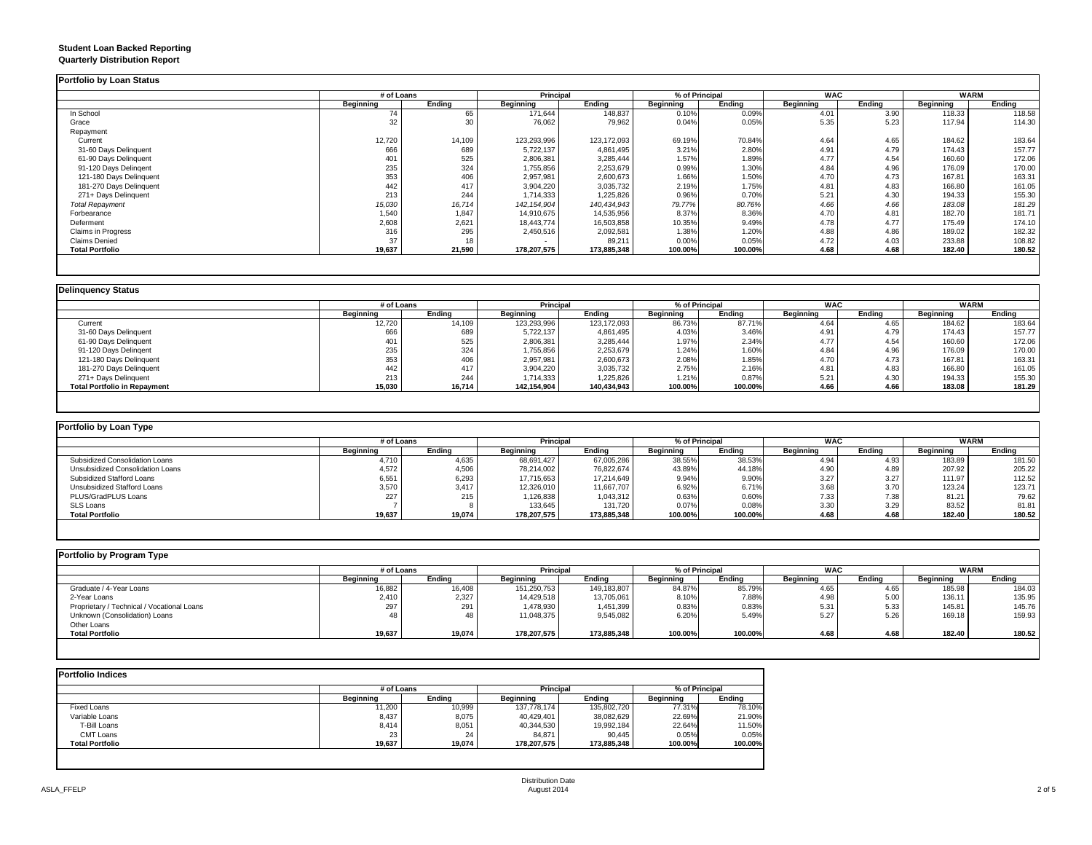## **Student Loan Backed Reporting**

|  | <b>Quarterly Distribution Report</b> |  |
|--|--------------------------------------|--|
|--|--------------------------------------|--|

|                         | # of Loans |        |                  | <b>Principal</b> |                  | % of Principal | <b>WAC</b>       |        | <b>WARM</b> |        |
|-------------------------|------------|--------|------------------|------------------|------------------|----------------|------------------|--------|-------------|--------|
|                         | Beginning  | Ending | <b>Beginning</b> | Ending           | <b>Beginning</b> | Ending         | <b>Beginning</b> | Ending | Beginning   | Ending |
| In School               | 74         | 65     | 171,644          | 148,837          | 0.10%            | 0.09%          | 4.01             | 3.90   | 118.33      | 118.58 |
| Grace                   | 32         |        | 76,062           | 79,962           | 0.04%            | 0.05%          | 5.35             | 5.23   | 117.94      | 114.30 |
| Repayment               |            |        |                  |                  |                  |                |                  |        |             |        |
| Current                 | 12,720     | 14,109 | 123,293,996      | 123, 172, 093    | 69.19%           | 70.84%         | 4.64             | 4.65   | 184.62      | 183.64 |
| 31-60 Days Delinquent   | 666        | 689    | 5,722,137        | 4,861,495        | 3.21%            | 2.80%          | 4.91             | 4.79   | 174.43      | 157.77 |
| 61-90 Days Delinquent   | 401        | 525    | 2,806,381        | 3,285,444        | 1.57%            | 1.89%          | 4.77             | 4.54   | 160.60      | 172.06 |
| 91-120 Days Delingent   | 235        | 324    | 1,755,856        | 2,253,679        | 0.99%            | 1.30%          | 4.84             | 4.96   | 176.09      | 170.00 |
| 121-180 Days Delinquent | 353        | 406    | 2,957,981        | 2,600,673        | 1.66%            | 1.50%          | 4.70             | 4.73   | 167.81      | 163.31 |
| 181-270 Days Delinquent | 442        | 417    | 3,904,220        | 3,035,732        | 2.19%            | 1.75%          | 4.81             | 4.83   | 166.80      | 161.05 |
| 271+ Days Delinquent    | 213        | 244    | 1,714,333        | 1,225,826        | 0.96%            | 0.70%          | 5.21             | 4.30   | 194.33      | 155.30 |
| <b>Total Repayment</b>  | 15,030     | 16,714 | 142, 154, 904    | 140,434,943      | 79.77%           | 80.76%         | 4.66             | 4.66   | 183.08      | 181.29 |
| Forbearance             | 1,540      | 1,847  | 14,910,675       | 14,535,956       | 8.37%            | 8.36%          | 4.70             | 4.81   | 182.70      | 181.71 |
| Deferment               | 2,608      | 2,621  | 18,443,774       | 16,503,858       | 10.35%           | 9.49%          | 4.78             | 4.77   | 175.49      | 174.10 |
| Claims in Progress      | 316        | 295    | 2,450,516        | 2,092,581        | 1.38%            | 1.20%          | 4.88             | 4.86   | 189.02      | 182.32 |
| <b>Claims Denied</b>    | 37         | 18     |                  | 89,211           | 0.00%            | 0.05%          | 4.72             | 4.03   | 233.88      | 108.82 |
| <b>Total Portfolio</b>  | 19,637     | 21,590 | 178,207,575      | 173,885,348      | 100.00%          | 100.00%        | 4.68             | 4.68   | 182.40      | 180.52 |

|                                     |           | # of Loans |             | Principal     |           | % of Principal |           | <b>WAC</b> | <b>WARM</b> |        |
|-------------------------------------|-----------|------------|-------------|---------------|-----------|----------------|-----------|------------|-------------|--------|
|                                     | Beginning | Endina     | Beginning   | Ending        | Beginning | Endina         | Beginning | Endina     | Beginning   | Ending |
| Current                             | 12,720    | 14,109     | 123,293,996 | 123, 172, 093 | 86.73%    | 87.71%         | 4.64      | 4.65       | 184.62      | 183.64 |
| 31-60 Days Delinquent               | 666       | 689        | 5,722,137   | 4,861,495     | 4.03%     | 3.46%          | 4.91      | 4.79       | 174.43      | 157.77 |
| 61-90 Days Delinquent               | 401       | 525        | 2,806,381   | 3,285,444     | 1.97%     | 2.34%          | 4.77      | 4.54       | 160.60      | 172.06 |
| 91-120 Days Delingent               | 235       | 324        | 1,755,856   | 2,253,679     | 1.24%     | 1.60%          | 4.84      | 4.96       | 176.09      | 170.00 |
| 121-180 Days Delinquent             | 353       | 406        | 2,957,981   | 2,600,673     | 2.08%     | 1.85%          | 4.70      | 4.73       | 167.81      | 163.31 |
| 181-270 Days Delinquent             | 442       | 417        | 3,904,220   | 3,035,732     | 2.75%     | 2.16%          | 4.81      | 4.83       | 166.80      | 161.05 |
| 271+ Days Delinquent                | 213       | 244        | 1,714,333   | 1,225,826     | 1.21%     | 0.87%          | 5.21      | 4.30       | 194.33      | 155.30 |
| <b>Total Portfolio in Repayment</b> | 15,030    | 16,714     | 142,154,904 | 140,434,943   | 100.00%   | 100.00%        | 4.66      | 4.66       | 183.08      | 181.29 |

| Portfolio by Loan Type           |                  |        |                  |             |                  |         |                  |        |             |        |
|----------------------------------|------------------|--------|------------------|-------------|------------------|---------|------------------|--------|-------------|--------|
|                                  | # of Loans       |        | <b>Principal</b> |             | % of Principal   |         | WAC              |        | <b>WARM</b> |        |
|                                  | <b>Beginning</b> | Endina | Beginning        | Endina      | <b>Beginning</b> | Endina  | <b>Beginning</b> | Ending | Beginning   | Ending |
| Subsidized Consolidation Loans   | 4.710            | 4.635  | 68,691,427       | 67,005,286  | 38.55%           | 38.53%  | 4.94             | 4.93   | 183.89      | 181.50 |
| Unsubsidized Consolidation Loans | 4.572            | 4,506  | 78,214,002       | 76.822.674  | 43.89%           | 44.18%  | 4.90             | 4.89   | 207.92      | 205.22 |
| Subsidized Stafford Loans        | 6,551            | 6.293  | 17.715.653       | 17.214.649  | 9.94%            | 9.90%   | 3.27             | 3.27   | 111.97      | 112.52 |
| Unsubsidized Stafford Loans      | 3,570            | 3.417  | 12,326,010       | 11,667,707  | 6.92%            | 6.71%   | 3.68             | 3.70   | 123.24      | 123.71 |
| PLUS/GradPLUS Loans              | 227              | 215    | 1,126,838        | 1,043,312   | 0.63%            | 0.60%   | 7.33             | 7.38   | 81.21       | 79.62  |
| <b>SLS Loans</b>                 |                  |        | 133,645          | 131.720     | 0.07%            | 0.08%   | 3.3C             | 3.29   | 83.52       | 81.81  |
| <b>Total Portfolio</b>           | 19,637           | 19,074 | 178.207.575      | 173,885,348 | 100.00%          | 100.00% | 4.68             | 4.68   | 182.40      | 180.52 |

| Portfolio by Program Type                  |            |        |                  |             |                |         |                  |        |                  |        |
|--------------------------------------------|------------|--------|------------------|-------------|----------------|---------|------------------|--------|------------------|--------|
|                                            | # of Loans |        | <b>Principal</b> |             | % of Principal |         | <b>WAC</b>       |        | <b>WARM</b>      |        |
|                                            | Beginning  | Endina | Beginning        | Endina      | Beainnina      | Endina  | <b>Beainning</b> | Endina | <b>Beginning</b> | Ending |
| Graduate / 4-Year Loans                    | 16,882     | 16,408 | 151,250,753      | 149,183,807 | 84.87%         | 85.79%  | 4.65             | 4.65   | 185.98           | 184.03 |
| 2-Year Loans                               | 2,410      | 2,327  | 14,429,518       | 13,705,061  | 8.10%          | 7.88%   | 4.98             | 5.00   | 136.11           | 135.95 |
| Proprietary / Technical / Vocational Loans | 297        | 291    | 1,478,930        | 1,451,399   | 0.83%          | 0.83%   | 5.31             | 5.33   | 145.81           | 145.76 |
| Unknown (Consolidation) Loans              |            | 48     | 11,048,375       | 9,545,082   | 6.20%          | 5.49%   | 5.27             | 5.26   | 169.18           | 159.93 |
| Other Loans                                |            |        |                  |             |                |         |                  |        |                  |        |
| <b>Total Portfolio</b>                     | 19,637     | 19,074 | 178.207.575      | 173,885,348 | 100.00%        | 100.00% | 4.68             | 4.68   | 182.40           | 180.52 |
|                                            |            |        |                  |             |                |         |                  |        |                  |        |

| <b>Portfolio Indices</b> |           |            |                  |             |                  |                |  |
|--------------------------|-----------|------------|------------------|-------------|------------------|----------------|--|
|                          |           | # of Loans |                  | Principal   |                  | % of Principal |  |
|                          | Beginning | Endina     | <b>Beginning</b> | Endina      | <b>Beginning</b> | Endina         |  |
| <b>Fixed Loans</b>       | 11.200    | 10,999     | 137.778.174      | 135,802,720 | 77.31%           | 78.10%         |  |
| Variable Loans           | 8,437     | 8,075      | 40,429,401       | 38,082,629  | 22.69%           | 21.90%         |  |
| T-Bill Loans             | 8.414     | 8,051      | 40,344,530       | 19,992,184  | 22.64%           | 11.50%         |  |
| CMT Loans                | 23        | 24         | 84,871           | 90.445      | 0.05%            | 0.05%          |  |
| <b>Total Portfolio</b>   | 19,637    | 19,074     | 178,207,575      | 173,885,348 | 100.00%          | 100.00%        |  |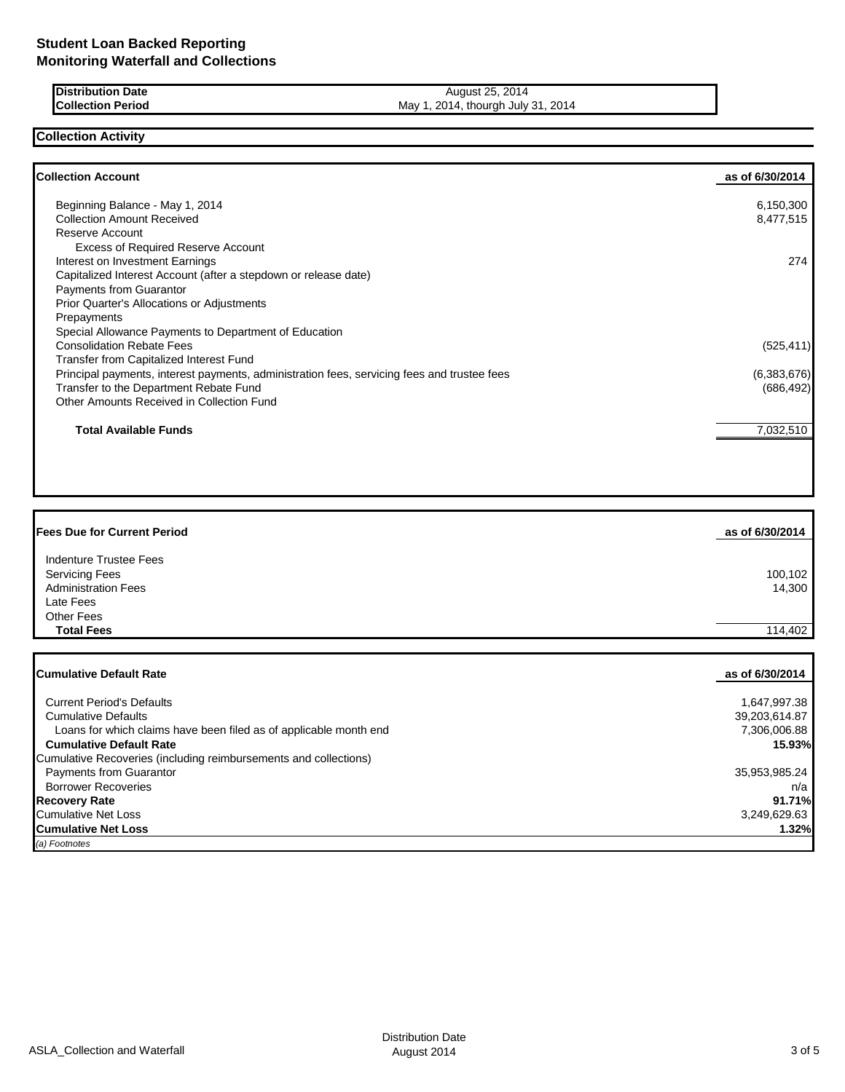| <b>IDistribution Date</b> | August 25, 2014                    |
|---------------------------|------------------------------------|
| <b>Collection Period</b>  | May 1, 2014, thourgh July 31, 2014 |

## **Collection Activity**

| <b>Collection Account</b>                                                                   | as of 6/30/2014 |
|---------------------------------------------------------------------------------------------|-----------------|
| Beginning Balance - May 1, 2014                                                             | 6,150,300       |
| <b>Collection Amount Received</b>                                                           | 8,477,515       |
| Reserve Account                                                                             |                 |
| <b>Excess of Required Reserve Account</b>                                                   |                 |
| Interest on Investment Earnings                                                             | 274             |
| Capitalized Interest Account (after a stepdown or release date)                             |                 |
| <b>Payments from Guarantor</b>                                                              |                 |
| Prior Quarter's Allocations or Adjustments                                                  |                 |
| Prepayments                                                                                 |                 |
| Special Allowance Payments to Department of Education                                       |                 |
| <b>Consolidation Rebate Fees</b>                                                            | (525, 411)      |
| <b>Transfer from Capitalized Interest Fund</b>                                              |                 |
| Principal payments, interest payments, administration fees, servicing fees and trustee fees | (6,383,676)     |
| Transfer to the Department Rebate Fund                                                      | (686, 492)      |
| Other Amounts Received in Collection Fund                                                   |                 |
| <b>Total Available Funds</b>                                                                | 7,032,510       |
|                                                                                             |                 |

| <b>Fees Due for Current Period</b>                                                         | as of 6/30/2014   |
|--------------------------------------------------------------------------------------------|-------------------|
| Indenture Trustee Fees<br><b>Servicing Fees</b><br><b>Administration Fees</b><br>Late Fees | 100,102<br>14,300 |
| <b>Other Fees</b><br><b>Total Fees</b>                                                     | 114,402           |

| <b>ICumulative Default Rate</b>                                   | as of 6/30/2014 |
|-------------------------------------------------------------------|-----------------|
|                                                                   |                 |
| <b>Current Period's Defaults</b>                                  | 1,647,997.38    |
| <b>Cumulative Defaults</b>                                        | 39,203,614.87   |
| Loans for which claims have been filed as of applicable month end | 7,306,006.88    |
| <b>Cumulative Default Rate</b>                                    | 15.93%          |
| Cumulative Recoveries (including reimbursements and collections)  |                 |
| <b>Payments from Guarantor</b>                                    | 35,953,985.24   |
| <b>Borrower Recoveries</b>                                        | n/a             |
| Recovery Rate                                                     | 91.71%          |
| Cumulative Net Loss                                               | 3.249.629.63    |
| <b>ICumulative Net Loss</b>                                       | 1.32%           |
| (a) Footnotes                                                     |                 |

ASLA\_Collection and Waterfall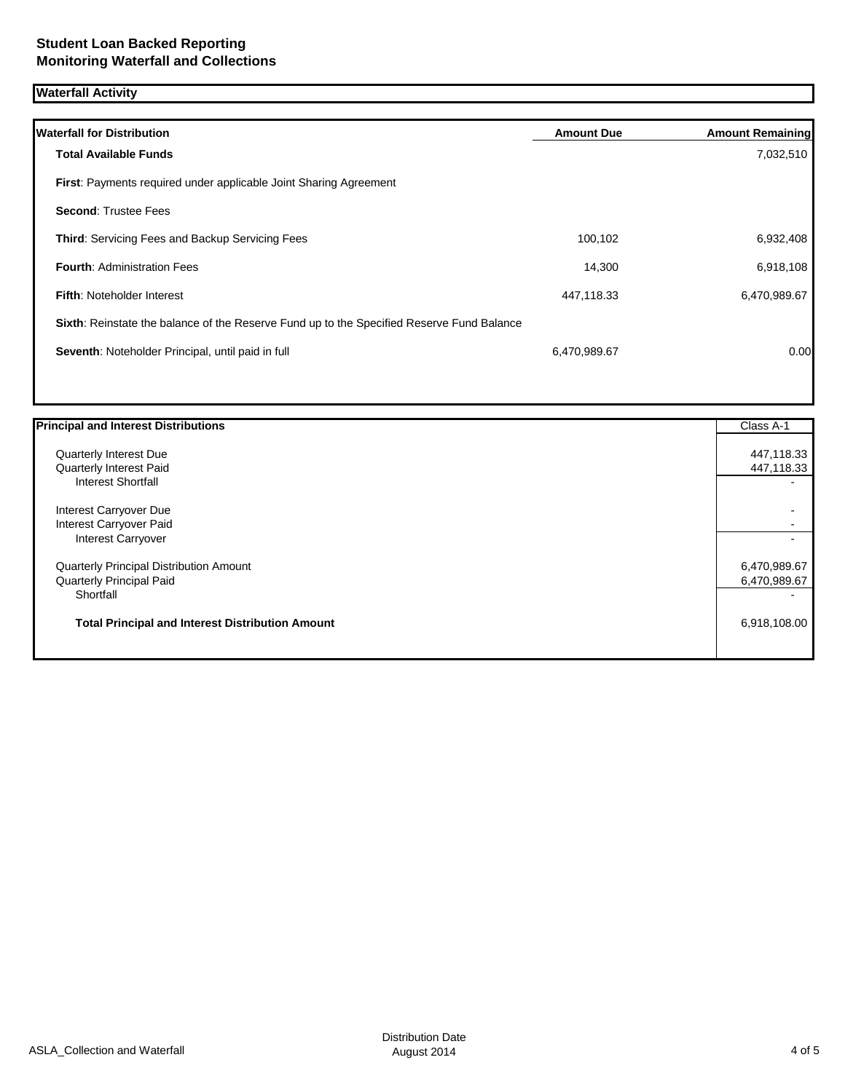# **Waterfall Activity**

| <b>Waterfall for Distribution</b>                                                         | <b>Amount Due</b> | <b>Amount Remaining</b> |
|-------------------------------------------------------------------------------------------|-------------------|-------------------------|
| <b>Total Available Funds</b>                                                              |                   | 7,032,510               |
| First: Payments required under applicable Joint Sharing Agreement                         |                   |                         |
| <b>Second: Trustee Fees</b>                                                               |                   |                         |
| <b>Third:</b> Servicing Fees and Backup Servicing Fees                                    | 100,102           | 6,932,408               |
| <b>Fourth: Administration Fees</b>                                                        | 14,300            | 6,918,108               |
| <b>Fifth: Noteholder Interest</b>                                                         | 447.118.33        | 6,470,989.67            |
| Sixth: Reinstate the balance of the Reserve Fund up to the Specified Reserve Fund Balance |                   |                         |
| Seventh: Noteholder Principal, until paid in full                                         | 6,470,989.67      | 0.00                    |
|                                                                                           |                   |                         |

| <b>Principal and Interest Distributions</b>             | Class A-1    |
|---------------------------------------------------------|--------------|
| Quarterly Interest Due                                  | 447,118.33   |
| Quarterly Interest Paid                                 | 447,118.33   |
| <b>Interest Shortfall</b>                               |              |
| Interest Carryover Due                                  |              |
| Interest Carryover Paid                                 |              |
| <b>Interest Carryover</b>                               |              |
| Quarterly Principal Distribution Amount                 | 6,470,989.67 |
| Quarterly Principal Paid                                | 6,470,989.67 |
| Shortfall                                               |              |
| <b>Total Principal and Interest Distribution Amount</b> | 6,918,108.00 |
|                                                         |              |
|                                                         |              |